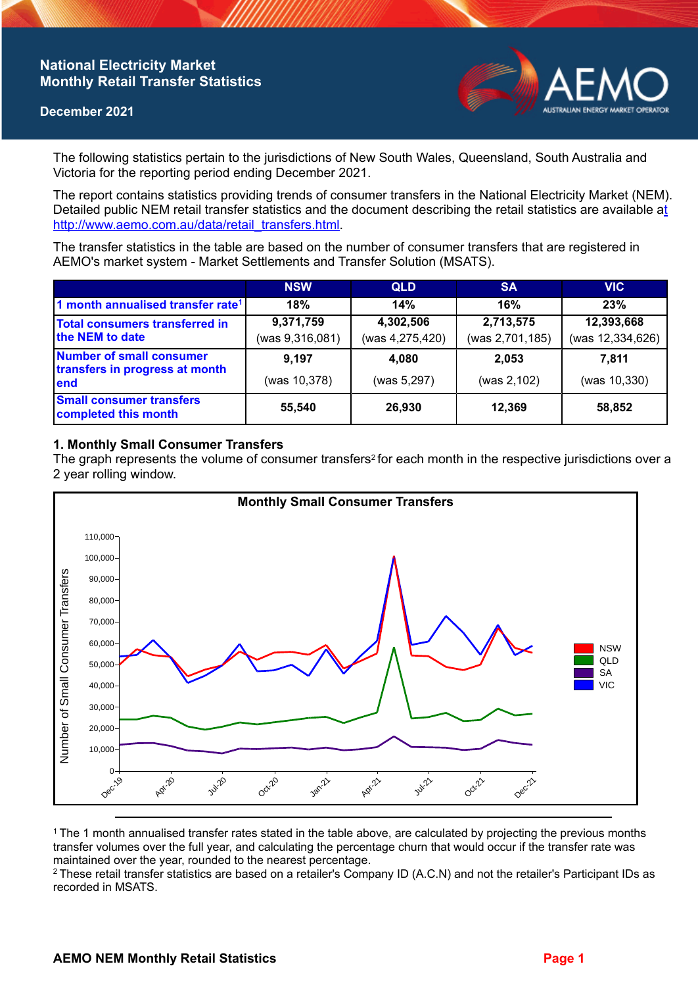## **National Electricity Market Monthly Retail Transfer Statistics**

#### **December 2021**



The following statistics pertain to the jurisdictions of New South Wales, Queensland, South Australia and Victoria for the reporting period ending December 2021.

The report contains statistics providing trends of consumer transfers in the National Electricity Market (NEM). Detailed public NEM retail transfer statistics and the document describing the retail statistics are available a[t](http://www.aemo.com.au/data/retail_transfers.html)  http://www.aemo.com.au/data/retail\_transfers.html

The transfer statistics in the table are based on the number of consumer transfers that are registered in AEMO's market system - Market Settlements and Transfer Solution (MSATS).

|                                                                    | <b>NSW</b>                   | <b>QLD</b>                   | <b>SA</b>                    | <b>VIC</b>                     |
|--------------------------------------------------------------------|------------------------------|------------------------------|------------------------------|--------------------------------|
| 1 month annualised transfer rate <sup>1</sup>                      | 18%                          | 14%                          | 16%                          | 23%                            |
| Total consumers transferred in<br>the NEM to date                  | 9,371,759<br>(was 9,316,081) | 4,302,506<br>(was 4,275,420) | 2,713,575<br>(was 2,701,185) | 12,393,668<br>(was 12,334,626) |
| Number of small consumer<br>transfers in progress at month<br>lend | 9.197<br>(was 10,378)        | 4,080<br>(was 5,297)         | 2.053<br>(was 2,102)         | 7.811<br>(was 10,330)          |
| <b>Small consumer transfers</b><br>completed this month            | 55,540                       | 26,930                       | 12,369                       | 58,852                         |

## **1. Monthly Small Consumer Transfers**

The graph represents the volume of consumer transfers<sup>2</sup> for each month in the respective jurisdictions over a 2 year rolling window.



<sup>1</sup>The 1 month annualised transfer rates stated in the table above, are calculated by projecting the previous months transfer volumes over the full year, and calculating the percentage churn that would occur if the transfer rate was maintained over the year, rounded to the nearest percentage.

<sup>2</sup> These retail transfer statistics are based on a retailer's Company ID (A.C.N) and not the retailer's Participant IDs as recorded in MSATS.